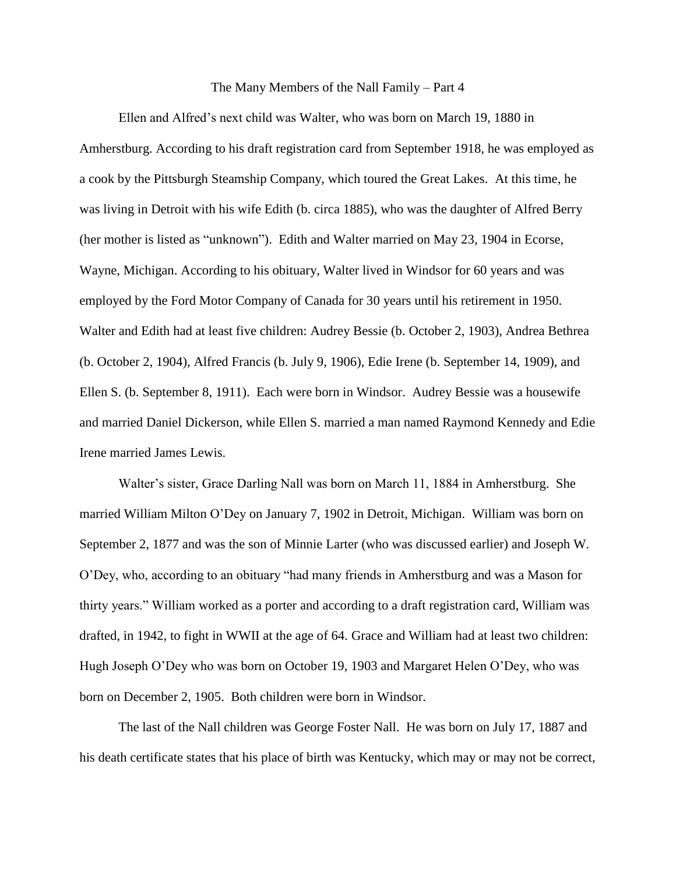## The Many Members of the Nall Family – Part 4

Ellen and Alfred's next child was Walter, who was born on March 19, 1880 in Amherstburg. According to his draft registration card from September 1918, he was employed as a cook by the Pittsburgh Steamship Company, which toured the Great Lakes. At this time, he was living in Detroit with his wife Edith (b. circa 1885), who was the daughter of Alfred Berry (her mother is listed as "unknown"). Edith and Walter married on May 23, 1904 in Ecorse, Wayne, Michigan. According to his obituary, Walter lived in Windsor for 60 years and was employed by the Ford Motor Company of Canada for 30 years until his retirement in 1950. Walter and Edith had at least five children: Audrey Bessie (b. October 2, 1903), Andrea Bethrea (b. October 2, 1904), Alfred Francis (b. July 9, 1906), Edie Irene (b. September 14, 1909), and Ellen S. (b. September 8, 1911). Each were born in Windsor. Audrey Bessie was a housewife and married Daniel Dickerson, while Ellen S. married a man named Raymond Kennedy and Edie Irene married James Lewis.

Walter's sister, Grace Darling Nall was born on March 11, 1884 in Amherstburg. She married William Milton O'Dey on January 7, 1902 in Detroit, Michigan. William was born on September 2, 1877 and was the son of Minnie Larter (who was discussed earlier) and Joseph W. O'Dey, who, according to an obituary "had many friends in Amherstburg and was a Mason for thirty years." William worked as a porter and according to a draft registration card, William was drafted, in 1942, to fight in WWII at the age of 64. Grace and William had at least two children: Hugh Joseph O'Dey who was born on October 19, 1903 and Margaret Helen O'Dey, who was born on December 2, 1905. Both children were born in Windsor.

The last of the Nall children was George Foster Nall. He was born on July 17, 1887 and his death certificate states that his place of birth was Kentucky, which may or may not be correct,